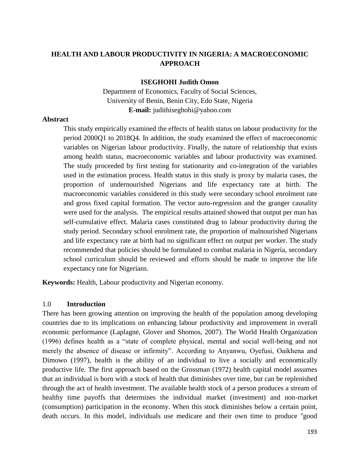# **HEALTH AND LABOUR PRODUCTIVITY IN NIGERIA: A MACROECONOMIC APPROACH**

#### **ISEGHOHI Judith Omon**

Department of Economics, Faculty of Social Sciences, University of Benin, Benin City, Edo State, Nigeria **E-mail:** judithiseghohi@yahoo.com

#### **Abstract**

This study empirically examined the effects of health status on labour productivity for the period 2000Q1 to 2018Q4. In addition, the study examined the effect of macroeconomic variables on Nigerian labour productivity. Finally, the nature of relationship that exists among health status, macroeconomic variables and labour productivity was examined. The study proceeded by first testing for stationarity and co-integration of the variables used in the estimation process. Health status in this study is proxy by malaria cases, the proportion of undernourished Nigerians and life expectancy rate at birth. The macroeconomic variables considered in this study were secondary school enrolment rate and gross fixed capital formation. The vector auto-regression and the granger causality were used for the analysis. The empirical results attained showed that output per man has self-cumulative effect. Malaria cases constituted drag to labour productivity during the study period. Secondary school enrolment rate, the proportion of malnourished Nigerians and life expectancy rate at birth had no significant effect on output per worker. The study recommended that policies should be formulated to combat malaria in Nigeria, secondary school curriculum should be reviewed and efforts should be made to improve the life expectancy rate for Nigerians.

**Keywords:** Health, Labour productivity and Nigerian economy*.*

#### 1.0 **Introduction**

There has been growing attention on improving the health of the population among developing countries due to its implications on enhancing labour productivity and improvement in overall economic performance (Laplagne, Glover and Shomos, 2007). The World Health Organization (1996) defines health as a "state of complete physical, mental and social well-being and not merely the absence of disease or infirmity". According to Anyanwu, Oyefusi, Oaikhena and Dimowo (1997), health is the ability of an individual to live a socially and economically productive life. The first approach based on the Grossman (1972) health capital model assumes that an individual is born with a stock of health that diminishes over time, but can be replenished through the act of health investment. The available health stock of a person produces a stream of healthy time payoffs that determines the individual market (investment) and non-market (consumption) participation in the economy. When this stock diminishes below a certain point, death occurs. In this model, individuals use medicare and their own time to produce ''good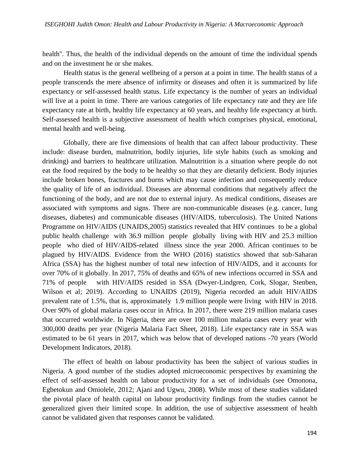health''. Thus, the health of the individual depends on the amount of time the individual spends and on the investment he or she makes.

Health status is the general wellbeing of a person at a point in time. The health status of a people transcends the mere absence of infirmity or diseases and often it is summarized by life expectancy or self-assessed health status. Life expectancy is the number of years an individual will live at a point in time. There are various categories of life expectancy rate and they are life expectancy rate at birth, healthy life expectancy at 60 years, and healthy life expectancy at birth. Self-assessed health is a subjective assessment of health which comprises physical, emotional, mental health and well-being.

Globally, there are five dimensions of health that can affect labour productivity. These include: disease burden, malnutrition, bodily injuries, life style habits (such as smoking and drinking) and barriers to healthcare utilization. Malnutrition is a situation where people do not eat the food required by the body to be healthy so that they are dietarily deficient. Body injuries include broken bones, fractures and burns which may cause infection and consequently reduce the quality of life of an individual. Diseases are abnormal conditions that negatively affect the functioning of the body, and are not due to external injury. As medical conditions, diseases are associated with symptoms and signs. There are non-communicable diseases (e.g. cancer, lung diseases, diabetes) and communicable diseases (HIV/AIDS, tuberculosis). The United Nations Programme on HIV/AIDS (UNAIDS,2005) statistics revealed that HIV continues to be a global public health challenge with 36.9 million people globally living with HIV and 25.3 million people who died of HIV/AIDS-related illness since the year 2000. African continues to be plagued by HIV/AIDS. Evidence from the WHO (2016) statistics showed that sub-Saharan Africa (SSA) has the highest number of total new infection of HIV/AIDS, and it accounts for over 70% of it globally. In 2017, 75% of deaths and 65% of new infections occurred in SSA and 71% of people with HIV/AIDS resided in SSA (Dwyer-Lindgren, Cork, Slogar, Stenben, Wilson et al; 2019). According to UNAIDS (2019), Nigeria recorded an adult HIV/AIDS prevalent rate of 1.5%, that is, approximately 1.9 million people were living with HIV in 2018. Over 90% of global malaria cases occur in Africa. In 2017, there were 219 million malaria cases that occurred worldwide. In Nigeria, there are over 100 million malaria cases every year with 300,000 deaths per year (Nigeria Malaria Fact Sheet, 2018). Life expectancy rate in SSA was estimated to be 61 years in 2017, which was below that of developed nations -70 years (World Development Indicators, 2018).

The effect of health on labour productivity has been the subject of various studies in Nigeria. A good number of the studies adopted microeconomic perspectives by examining the effect of self-assessed health on labour productivity for a set of individuals (see Omonona, Egbetokun and Omiolele, 2012; Ajani and Ugwu, 2008). While most of these studies validated the pivotal place of health capital on labour productivity findings from the studies cannot be generalized given their limited scope. In addition, the use of subjective assessment of health cannot be validated given that responses cannot be validated.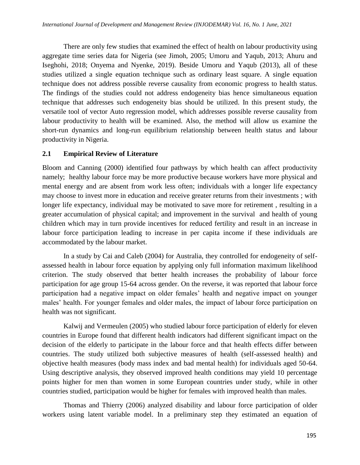There are only few studies that examined the effect of health on labour productivity using aggregate time series data for Nigeria (see Jimoh, 2005; Umoru and Yaqub, 2013; Ahuru and Iseghohi, 2018; Onyema and Nyenke, 2019). Beside Umoru and Yaqub (2013), all of these studies utilized a single equation technique such as ordinary least square. A single equation technique does not address possible reverse causality from economic progress to health status. The findings of the studies could not address endogeneity bias hence simultaneous equation technique that addresses such endogeneity bias should be utilized. In this present study, the versatile tool of vector Auto regression model, which addresses possible reverse causality from labour productivity to health will be examined. Also, the method will allow us examine the short-run dynamics and long-run equilibrium relationship between health status and labour productivity in Nigeria.

## **2.1 Empirical Review of Literature**

Bloom and Canning (2000) identified four pathways by which health can affect productivity namely; healthy labour force may be more productive because workers have more physical and mental energy and are absent from work less often; individuals with a longer life expectancy may choose to invest more in education and receive greater returns from their investments ; with longer life expectancy, individual may be motivated to save more for retirement , resulting in a greater accumulation of physical capital; and improvement in the survival and health of young children which may in turn provide incentives for reduced fertility and result in an increase in labour force participation leading to increase in per capita income if these individuals are accommodated by the labour market.

In a study by Cai and Caleb (2004) for Australia, they controlled for endogeneity of selfassessed health in labour force equation by applying only full information maximum likelihood criterion. The study observed that better health increases the probability of labour force participation for age group 15-64 across gender. On the reverse, it was reported that labour force participation had a negative impact on older females' health and negative impact on younger males' health. For younger females and older males, the impact of labour force participation on health was not significant.

Kalwij and Vermeulen (2005) who studied labour force participation of elderly for eleven countries in Europe found that different health indicators had different significant impact on the decision of the elderly to participate in the labour force and that health effects differ between countries. The study utilized both subjective measures of health (self-assessed health) and objective health measures (body mass index and bad mental health) for individuals aged 50-64. Using descriptive analysis, they observed improved health conditions may yield 10 percentage points higher for men than women in some European countries under study, while in other countries studied, participation would be higher for females with improved health than males.

Thomas and Thierry (2006) analyzed disability and labour force participation of older workers using latent variable model. In a preliminary step they estimated an equation of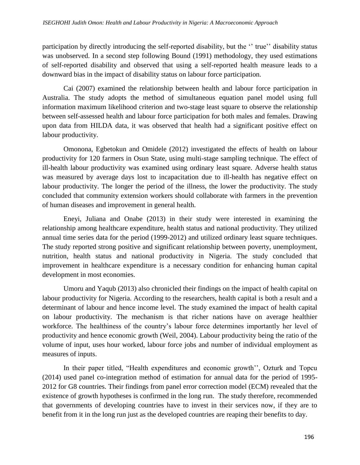participation by directly introducing the self-reported disability, but the "true" disability status was unobserved. In a second step following Bound (1991) methodology, they used estimations of self-reported disability and observed that using a self-reported health measure leads to a downward bias in the impact of disability status on labour force participation.

Cai (2007) examined the relationship between health and labour force participation in Australia. The study adopts the method of simultaneous equation panel model using full information maximum likelihood criterion and two-stage least square to observe the relationship between self-assessed health and labour force participation for both males and females. Drawing upon data from HILDA data, it was observed that health had a significant positive effect on labour productivity.

Omonona, Egbetokun and Omidele (2012) investigated the effects of health on labour productivity for 120 farmers in Osun State, using multi-stage sampling technique. The effect of ill-health labour productivity was examined using ordinary least square. Adverse health status was measured by average days lost to incapacitation due to ill-health has negative effect on labour productivity. The longer the period of the illness, the lower the productivity. The study concluded that community extension workers should collaborate with farmers in the prevention of human diseases and improvement in general health.

Eneyi, Juliana and Onabe (2013) in their study were interested in examining the relationship among healthcare expenditure, health status and national productivity. They utilized annual time series data for the period (1999-2012) and utilized ordinary least square techniques. The study reported strong positive and significant relationship between poverty, unemployment, nutrition, health status and national productivity in Nigeria. The study concluded that improvement in healthcare expenditure is a necessary condition for enhancing human capital development in most economies.

Umoru and Yaqub (2013) also chronicled their findings on the impact of health capital on labour productivity for Nigeria. According to the researchers, health capital is both a result and a determinant of labour and hence income level. The study examined the impact of health capital on labour productivity. The mechanism is that richer nations have on average healthier workforce. The healthiness of the country's labour force determines importantly her level of productivity and hence economic growth (Weil, 2004). Labour productivity being the ratio of the volume of input, uses hour worked, labour force jobs and number of individual employment as measures of inputs.

In their paper titled, "Health expenditures and economic growth", Ozturk and Topcu (2014) used panel co-integration method of estimation for annual data for the period of 1995- 2012 for G8 countries. Their findings from panel error correction model (ECM) revealed that the existence of growth hypotheses is confirmed in the long run. The study therefore, recommended that governments of developing countries have to invest in their services now, if they are to benefit from it in the long run just as the developed countries are reaping their benefits to day.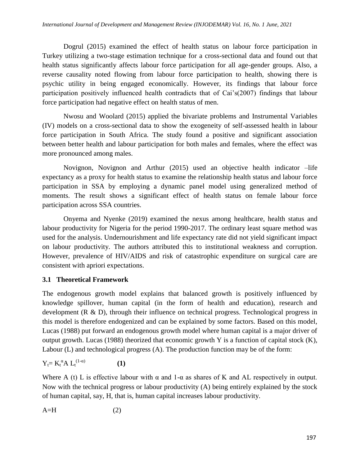Dogrul (2015) examined the effect of health status on labour force participation in Turkey utilizing a two-stage estimation technique for a cross-sectional data and found out that health status significantly affects labour force participation for all age-gender groups. Also, a reverse causality noted flowing from labour force participation to health, showing there is psychic utility in being engaged economically. However, its findings that labour force participation positively influenced health contradicts that of Cai's(2007) findings that labour force participation had negative effect on health status of men.

Nwosu and Woolard (2015) applied the bivariate problems and Instrumental Variables (IV) models on a cross-sectional data to show the exogeneity of self-assessed health in labour force participation in South Africa. The study found a positive and significant association between better health and labour participation for both males and females, where the effect was more pronounced among males.

Novignon, Novignon and Arthur (2015) used an objective health indicator –life expectancy as a proxy for health status to examine the relationship health status and labour force participation in SSA by employing a dynamic panel model using generalized method of moments. The result shows a significant effect of health status on female labour force participation across SSA countries.

Onyema and Nyenke (2019) examined the nexus among healthcare, health status and labour productivity for Nigeria for the period 1990-2017. The ordinary least square method was used for the analysis. Undernourishment and life expectancy rate did not yield significant impact on labour productivity. The authors attributed this to institutional weakness and corruption. However, prevalence of HIV/AIDS and risk of catastrophic expenditure on surgical care are consistent with apriori expectations.

## **3.1 Theoretical Framework**

The endogenous growth model explains that balanced growth is positively influenced by knowledge spillover, human capital (in the form of health and education), research and development (R & D), through their influence on technical progress. Technological progress in this model is therefore endogenized and can be explained by some factors. Based on this model, Lucas (1988) put forward an endogenous growth model where human capital is a major driver of output growth. Lucas (1988) theorized that economic growth Y is a function of capital stock (K), Labour (L) and technological progress (A). The production function may be of the form:

$$
Y_t = K_t^{\alpha} A L_t^{(1-\alpha)}
$$
 (1)

Where A (t) L is effective labour with  $\alpha$  and 1- $\alpha$  as shares of K and AL respectively in output. Now with the technical progress or labour productivity (A) being entirely explained by the stock of human capital, say, H, that is, human capital increases labour productivity.

$$
A=H
$$
 (2)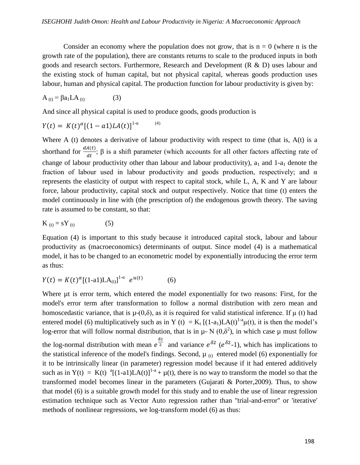Consider an economy where the population does not grow, that is  $n = 0$  (where n is the growth rate of the population), there are constants returns to scale to the produced inputs in both goods and research sectors. Furthermore, Research and Development (R & D) uses labour and the existing stock of human capital, but not physical capital, whereas goods production uses labour, human and physical capital. The production function for labour productivity is given by:

$$
A_{(t)} = \beta a_1 L A_{(t)}
$$
 (3)

And since all physical capital is used to produce goods, goods production is

$$
Y(t) = K(t)^{\alpha} [(1 - a1)LA(t)]^{1-\alpha} \tag{4}
$$

Where A (t) denotes a derivative of labour productivity with respect to time (that is,  $A(t)$  is a shorthand for  $\frac{dA(t)}{dt}$ ;  $\beta$  is a shift parameter (which accounts for all other factors affecting rate of change of labour productivity other than labour and labour productivity),  $a_1$  and 1- $a_1$  denote the fraction of labour used in labour productivity and goods production, respectively; and  $\alpha$ represents the elasticity of output with respect to capital stock, while L, A, K and Y are labour force, labour productivity, capital stock and output respectively. Notice that time (t) enters the model continuously in line with (the prescription of) the endogenous growth theory. The saving rate is assumed to be constant, so that:

$$
K_{(t)} = sY_{(t)} \tag{5}
$$

Equation (4) is important to this study because it introduced capital stock, labour and labour productivity as (macroeconomics) determinants of output. Since model (4) is a mathematical model, it has to be changed to an econometric model by exponentially introducing the error term as thus:

$$
Y(t) = K(t)^{\alpha} [(1-a1)LA_{(t)}]^{1-\alpha} e^{u(t)} \tag{6}
$$

Where  $\mu$ t is error term, which entered the model exponentially for two reasons: First, for the model's error term after transformation to follow a normal distribution with zero mean and homoscedastic variance, that is  $\mu(0,\delta)$ , as it is required for valid statistical inference. If  $\mu$  (t) had entered model (6) multiplicatively such as in Y (t) =  $K_t$  [(1-a<sub>1</sub>)LA(t)<sup>1-a</sup> $\mu$ (t), it is then the model's log-error that will follow normal distribution, that is in  $\mu \sim N(0,\delta^2)$ , in which case  $\mu$  must follow the log-normal distribution with mean  $e^{\frac{\delta^2}{2}}$  and variance  $e^{\delta^2}$  ( $e^{\delta^2-1}$ ), which has implications to the statistical inference of the model's findings. Second,  $\mu_{(t)}$  entered model (6) exponentially for it to be intrinsically linear (in parameter) regression model because if it had entered additively such as in  $Y(t) = K(t)$  <sup>a</sup>[(1-a1)LA(t)]<sup>1-a</sup> +  $\mu$ (t), there is no way to transform the model so that the transformed model becomes linear in the parameters (Gujarati & Porter,2009). Thus, to show that model (6) is a suitable growth model for this study and to enable the use of linear regression estimation technique such as Vector Auto regression rather than ''trial-and-error'' or 'iterative' methods of nonlinear regressions, we log-transform model (6) as thus: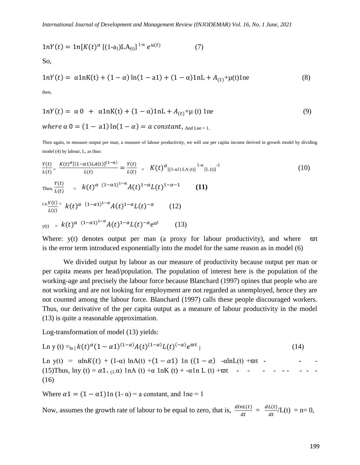$$
1nY(t) = 1n[K(t)^{\alpha} [ (1-a_1)LA_{(t)}]^{1-\alpha} e^{u(t)}
$$
 (7)

So,

$$
1nY(t) = \alpha 1nK(t) + (1 - \alpha) \ln(1 - a1) + (1 - \alpha) 1nL + A_{(t)} + \mu(t) 1n\tag{8}
$$

then,

$$
1nY(t) = \alpha 0 + \alpha 1nK(t) + (1 - \alpha)1nL + A_{(t)} + \mu(t) 1n\tag{9}
$$
  
where  $\alpha 0 = (1 - a1) \ln(1 - \alpha) = a$  constant,  $A_{nd \text{Ln}e} = 1$ .

Then again, to measure output per man, a measure of labour productivity, we will use per capita income derived in growth model by dividing model (4) by labour, L, as thus:

$$
\frac{Y(t)}{L(t)} = \frac{K(t)^{\alpha}[(1-\alpha t)LA(t)]^{(1-\alpha)}}{L(t)} = \frac{Y(t)}{L(t)} = K(t)^{\alpha}[(1-\alpha t)LA(t)]^{1-\alpha}[L(t)]^{1-\alpha}
$$
\nThen, 
$$
\frac{Y(t)}{L(t)} = k(t)^{\alpha} (1-\alpha t)^{1-\alpha} A(t)^{1-\alpha} L(t)^{1-\alpha-1}
$$
\n(i1)  
\ni.e. 
$$
\frac{Y(t)}{L(t)} = k(t)^{\alpha} (1-\alpha t)^{1-\alpha} A(t)^{1-\alpha} L(t)^{-\alpha}
$$
\n(12)  
\n
$$
y(t) = k(t)^{\alpha} (1-\alpha t)^{1-\alpha} A(t)^{1-\alpha} L(t)^{-\alpha} e^{\varpi t}
$$
\n(13)

Where:  $y(t)$  denotes output per man (a proxy for labour productivity), and where  $\varpi t$ is the error term introduced exponentially into the model for the same reason as in model (6)

We divided output by labour as our measure of productivity because output per man or per capita means per head/population. The population of interest here is the population of the working-age and precisely the labour force because Blanchard (1997) opines that people who are not working and are not looking for employment are not regarded as unemployed, hence they are not counted among the labour force. Blanchard (1997) calls these people discouraged workers. Thus, our derivative of the per capita output as a measure of labour productivity in the model (13) is quite a reasonable approximation.

Log-transformation of model (13) yields:

$$
\text{Ln } y(t) =_{\ln\left[k\left(t\right)^{\alpha}(1-\alpha 1)^{(1-\alpha)}A(t)^{(1-\alpha)}L(t)^{(-\alpha)}e^{\varpi t}\right]
$$
\n(14)

Ln y(t) =  $\alpha \ln K(t) + (1-\alpha) \ln A(t) + (1-\alpha 1) \ln ((1-\alpha) - \alpha \ln L(t) + \varpi t$  -(15)Thus,  $\ln y(t) = \alpha 1_{+(1-\alpha)} \ln A(t) + \alpha \ln K(t) + \alpha \ln L(t) + \varpi t$  - - - - -(16)

Where  $\alpha$ 1 =  $(1 - \alpha)$ 1n  $(1 - \alpha)$  = a constant, and 1ne = 1

Now, assumes the growth rate of labour to be equal to zero, that is,  $\frac{dlnL(t)}{dt} = \frac{dL(t)}{dt}$  $\frac{L(t)}{dt}$ /L(t) = n= 0,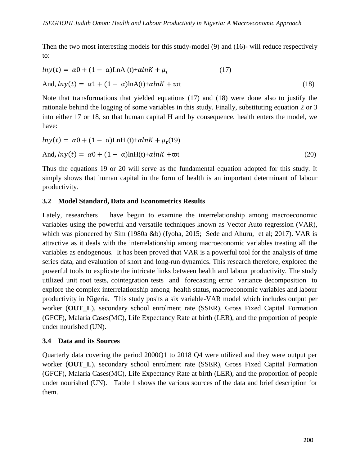Then the two most interesting models for this study-model (9) and (16)- will reduce respectively to:

$$
ln y(t) = \alpha 0 + (1 - \alpha) \text{LnA}(t) + \alpha lnK + \mu_t
$$
 (17)  
And,  $ln y(t) = \alpha 1 + (1 - \alpha) \text{LnA}(t) + \alpha lnK + \varpi t$  (18)

Note that transformations that yielded equations (17) and (18) were done also to justify the rationale behind the logging of some variables in this study. Finally, substituting equation 2 or 3 into either 17 or 18, so that human capital H and by consequence, health enters the model, we have:

$$
ln y(t) = \alpha 0 + (1 - \alpha) LnH(t) + \alpha lnK + \mu_t(19)
$$
  
And,  $ln y(t) = \alpha 0 + (1 - \alpha) \ln H(t) + \alpha lnK + \varpi t$  (20)

Thus the equations 19 or 20 will serve as the fundamental equation adopted for this study. It simply shows that human capital in the form of health is an important determinant of labour productivity.

## **3.2 Model Standard, Data and Econometrics Results**

Lately, researchers have begun to examine the interrelationship among macroeconomic variables using the powerful and versatile techniques known as Vector Auto regression (VAR), which was pioneered by Sim (1980a &b) (Iyoha, 2015; Sede and Ahuru, et al; 2017). VAR is attractive as it deals with the interrelationship among macroeconomic variables treating all the variables as endogenous. It has been proved that VAR is a powerful tool for the analysis of time series data, and evaluation of short and long-run dynamics. This research therefore, explored the powerful tools to explicate the intricate links between health and labour productivity. The study utilized unit root tests, cointegration tests and forecasting error variance decomposition to explore the complex interrelationship among health status, macroeconomic variables and labour productivity in Nigeria. This study posits a six variable-VAR model which includes output per worker (**OUT\_L**), secondary school enrolment rate (SSER), Gross Fixed Capital Formation (GFCF), Malaria Cases(MC), Life Expectancy Rate at birth (LER), and the proportion of people under nourished (UN).

## **3.4 Data and its Sources**

Quarterly data covering the period 2000Q1 to 2018 Q4 were utilized and they were output per worker (**OUT\_L**), secondary school enrolment rate (SSER), Gross Fixed Capital Formation (GFCF), Malaria Cases(MC), Life Expectancy Rate at birth (LER), and the proportion of people under nourished (UN). Table 1 shows the various sources of the data and brief description for them.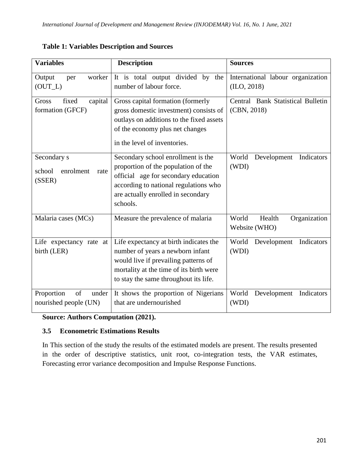| <b>Variables</b>                                     | <b>Description</b>                                                                                                                                                                                           | <b>Sources</b>                                    |
|------------------------------------------------------|--------------------------------------------------------------------------------------------------------------------------------------------------------------------------------------------------------------|---------------------------------------------------|
| Output<br>worker<br>per<br>$(OUT_L)$                 | It is total output divided by the<br>number of labour force.                                                                                                                                                 | International labour organization<br>(II.0, 2018) |
| capital<br>Gross<br>fixed<br>formation (GFCF)        | Gross capital formation (formerly<br>gross domestic investment) consists of<br>outlays on additions to the fixed assets<br>of the economy plus net changes<br>in the level of inventories.                   | Central Bank Statistical Bulletin<br>(CBN, 2018)  |
| Secondary s<br>school<br>enrolment<br>rate<br>(SSER) | Secondary school enrollment is the<br>proportion of the population of the<br>official age for secondary education<br>according to national regulations who<br>are actually enrolled in secondary<br>schools. | World<br>Development<br>Indicators<br>(WDI)       |
| Malaria cases (MCs)                                  | Measure the prevalence of malaria                                                                                                                                                                            | Health<br>World<br>Organization<br>Website (WHO)  |
| Life expectancy rate at<br>birth (LER)               | Life expectancy at birth indicates the<br>number of years a newborn infant<br>would live if prevailing patterns of<br>mortality at the time of its birth were<br>to stay the same throughout its life.       | World<br>Development<br>Indicators<br>(WDI)       |
| of<br>Proportion<br>under<br>nourished people (UN)   | It shows the proportion of Nigerians<br>that are undernourished                                                                                                                                              | World<br>Indicators<br>Development<br>(WDI)       |

**Table 1: Variables Description and Sources**

**Source: Authors Computation (2021).**

## **3.5 Econometric Estimations Results**

In This section of the study the results of the estimated models are present. The results presented in the order of descriptive statistics, unit root, co-integration tests, the VAR estimates, Forecasting error variance decomposition and Impulse Response Functions.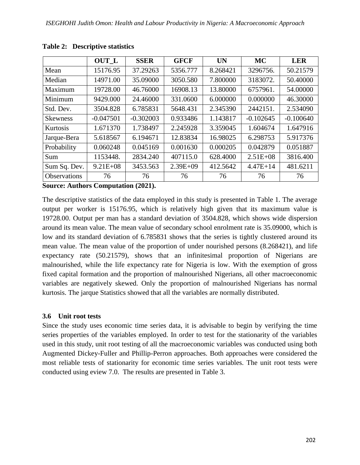|                 | OUT L        | <b>SSER</b> | <b>GFCF</b>  | <b>UN</b> | <b>MC</b>    | <b>LER</b>  |
|-----------------|--------------|-------------|--------------|-----------|--------------|-------------|
| Mean            | 15176.95     | 37.29263    | 5356.777     | 8.268421  | 3296756.     | 50.21579    |
| Median          | 14971.00     | 35.09000    | 3050.580     | 7.800000  | 3183072.     | 50.40000    |
| Maximum         | 19728.00     | 46.76000    | 16908.13     | 13.80000  | 6757961.     | 54.00000    |
| Minimum         | 9429.000     | 24.46000    | 331.0600     | 6.000000  | 0.000000     | 46.30000    |
| Std. Dev.       | 3504.828     | 6.785831    | 5648.431     | 2.345390  | 2442151.     | 2.534090    |
| <b>Skewness</b> | $-0.047501$  | $-0.302003$ | 0.933486     | 1.143817  | $-0.102645$  | $-0.100640$ |
| Kurtosis        | 1.671370     | 1.738497    | 2.245928     | 3.359045  | 1.604674     | 1.647916    |
| Jarque-Bera     | 5.618567     | 6.194671    | 12.83834     | 16.98025  | 6.298753     | 5.917376    |
| Probability     | 0.060248     | 0.045169    | 0.001630     | 0.000205  | 0.042879     | 0.051887    |
| Sum             | 1153448.     | 2834.240    | 407115.0     | 628.4000  | $2.51E + 08$ | 3816.400    |
| Sum Sq. Dev.    | $9.21E + 08$ | 3453.563    | $2.39E + 09$ | 412.5642  | $4.47E + 14$ | 481.6211    |
| Observations    | 76           | 76          | 76           | 76        | 76           | 76          |

#### **Table 2: Descriptive statistics**

**Source: Authors Computation (2021).**

The descriptive statistics of the data employed in this study is presented in Table 1. The average output per worker is 15176.95, which is relatively high given that its maximum value is 19728.00. Output per man has a standard deviation of 3504.828, which shows wide dispersion around its mean value. The mean value of secondary school enrolment rate is 35.09000, which is low and its standard deviation of 6.785831 shows that the series is tightly clustered around its mean value. The mean value of the proportion of under nourished persons (8.268421), and life expectancy rate (50.21579), shows that an infinitesimal proportion of Nigerians are malnourished, while the life expectancy rate for Nigeria is low. With the exemption of gross fixed capital formation and the proportion of malnourished Nigerians, all other macroeconomic variables are negatively skewed. Only the proportion of malnourished Nigerians has normal kurtosis. The jarque Statistics showed that all the variables are normally distributed.

#### **3.6 Unit root tests**

Since the study uses economic time series data, it is advisable to begin by verifying the time series properties of the variables employed. In order to test for the stationarity of the variables used in this study, unit root testing of all the macroeconomic variables was conducted using both Augmented Dickey-Fuller and Phillip-Perron approaches. Both approaches were considered the most reliable tests of stationarity for economic time series variables. The unit root tests were conducted using eview 7.0. The results are presented in Table 3.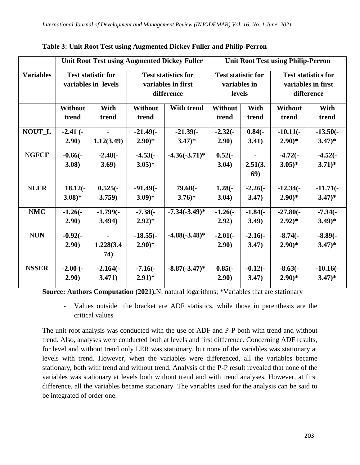|                  | <b>Unit Root Test using Augmented Dickey Fuller</b> |                  |                                                                |                    |                                                     | <b>Unit Root Test using Philip-Perron</b> |                                                                |               |  |
|------------------|-----------------------------------------------------|------------------|----------------------------------------------------------------|--------------------|-----------------------------------------------------|-------------------------------------------|----------------------------------------------------------------|---------------|--|
| <b>Variables</b> | <b>Test statistic for</b><br>variables in levels    |                  | <b>Test statistics for</b><br>variables in first<br>difference |                    | <b>Test statistic for</b><br>variables in<br>levels |                                           | <b>Test statistics for</b><br>variables in first<br>difference |               |  |
|                  | <b>Without</b><br>trend                             | With<br>trend    | <b>Without</b><br>trend                                        | With trend         | Without<br>trend                                    | With<br>trend                             | <b>Without</b><br>trend                                        | With<br>trend |  |
| <b>NOUT_L</b>    | $-2.41$ $(-$                                        | $\blacksquare$   | $-21.49(-)$                                                    | $-21.39(-)$        | $-2.32(-)$                                          | $0.84(-)$                                 | $-10.11(-$                                                     | $-13.50(-$    |  |
|                  | 2.90)                                               | 1.12(3.49)       | $2.90)*$                                                       | $3.47)*$           | 2.90)                                               | 3.41)                                     | $2.90)*$                                                       | $3.47)*$      |  |
| <b>NGFCF</b>     | $-0.66(-$                                           | $-2.48(-)$       | $-4.53(-)$                                                     | $-4.36(-3.71)^{*}$ | $0.52(-$                                            |                                           | $-4.72(-$                                                      | $-4.52(-$     |  |
|                  | 3.08)                                               | 3.69)            | $3.05)*$                                                       |                    | 3.04)                                               | 2.51(3.<br><b>69</b> )                    | $3.05)*$                                                       | $3.71)*$      |  |
| <b>NLER</b>      | $18.12(-$                                           | $0.525(-$        | $-91.49(-$                                                     | $79.60(-$          | $1.28(-)$                                           | $-2.26(-)$                                | $-12.34(-$                                                     | $-11.71(-$    |  |
|                  | $3.08)*$                                            | 3.759)           | $3.09)*$                                                       | $3.76*$            | 3.04)                                               | 3.47)                                     | $2.90)*$                                                       | $3.47)*$      |  |
| <b>NMC</b>       | $-1.26(-)$                                          | $-1.799(-$       | $-7.38(-$                                                      | $-7.34(-3.49)$ *   | $-1.26(-)$                                          | $-1.84(-)$                                | $-27.80(-$                                                     | $-7.34(-)$    |  |
|                  | 2.90)                                               | 3.494)           | $(2.92)^{*}$                                                   |                    | 2.92)                                               | 3.49)                                     | $(2.92)^{*}$                                                   | $(3.49)*$     |  |
| <b>NUN</b>       | $-0.92(-$                                           | $\blacksquare$   | $-18.55(-$                                                     | $-4.88(-3.48)*$    | $-2.01(-$                                           | $-2.16(-)$                                | $-8.74(-$                                                      | $-8.89(-$     |  |
|                  | 2.90)                                               | 1.228(3.4<br>74) | $2.90)*$                                                       |                    | 2.90)                                               | 3.47)                                     | $2.90)*$                                                       | $3.47)*$      |  |
| <b>NSSER</b>     | $-2.00(-$                                           | $-2.164(-$       | $-7.16(-$                                                      | $-8.87(-3.47)^*$   | $0.85(-)$                                           | $-0.12(-)$                                | $-8.63(-$                                                      | $-10.16(-$    |  |
|                  | 2.90)                                               | 3.471)           | $2.91)*$                                                       |                    | 2.90)                                               | 3.47)                                     | $2.90)*$                                                       | $3.47)*$      |  |

**Table 3: Unit Root Test using Augmented Dickey Fuller and Philip-Perron**

**Source: Authors Computation (2021).**N: natural logarithms; \*Variables that are stationary

- Values outside the bracket are ADF statistics, while those in parenthesis are the critical values

The unit root analysis was conducted with the use of ADF and P-P both with trend and without trend. Also, analyses were conducted both at levels and first difference. Concerning ADF results, for level and without trend only LER was stationary, but none of the variables was stationary at levels with trend. However, when the variables were differenced, all the variables became stationary, both with trend and without trend. Analysis of the P-P result revealed that none of the variables was stationary at levels both without trend and with trend analyses. However, at first difference, all the variables became stationary. The variables used for the analysis can be said to be integrated of order one.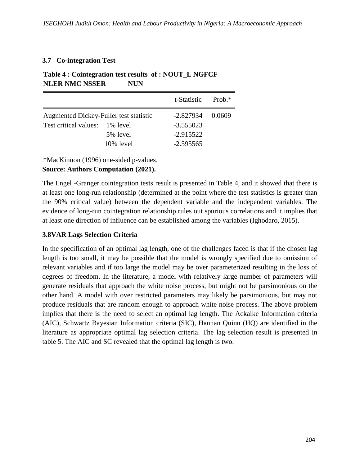## **3.7 Co-integration Test**

|                                        |              | t-Statistic | Prob $*$ |
|----------------------------------------|--------------|-------------|----------|
| Augmented Dickey-Fuller test statistic |              | $-2.827934$ | (1.0609) |
| Test critical values: 1% level         |              | $-3.555023$ |          |
|                                        | 5% level     | $-2.915522$ |          |
|                                        | $10\%$ level | $-2.595565$ |          |

# **Table 4 : Cointegration test results of : NOUT\_L NGFCF NLER NMC NSSER NUN**

\*MacKinnon (1996) one-sided p-values.

## **Source: Authors Computation (2021).**

The Engel -Granger cointegration tests result is presented in Table 4, and it showed that there is at least one long-run relationship (determined at the point where the test statistics is greater than the 90% critical value) between the dependent variable and the independent variables. The evidence of long-run cointegration relationship rules out spurious correlations and it implies that at least one direction of influence can be established among the variables (Ighodaro, 2015).

## **3.8VAR Lags Selection Criteria**

In the specification of an optimal lag length, one of the challenges faced is that if the chosen lag length is too small, it may be possible that the model is wrongly specified due to omission of relevant variables and if too large the model may be over parameterized resulting in the loss of degrees of freedom. In the literature, a model with relatively large number of parameters will generate residuals that approach the white noise process, but might not be parsimonious on the other hand. A model with over restricted parameters may likely be parsimonious, but may not produce residuals that are random enough to approach white noise process. The above problem implies that there is the need to select an optimal lag length. The Ackaike Information criteria (AIC), Schwartz Bayesian Information criteria (SIC), Hannan Quinn (HQ) are identified in the literature as appropriate optimal lag selection criteria. The lag selection result is presented in table 5. The AIC and SC revealed that the optimal lag length is two.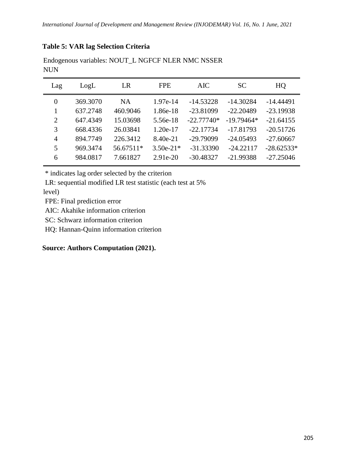## **Table 5: VAR lag Selection Criteria**

| Lag      | LogL     | LR        | <b>FPE</b>  | <b>AIC</b>   | <b>SC</b>    | HQ           |
|----------|----------|-----------|-------------|--------------|--------------|--------------|
| $\theta$ | 369.3070 | NA.       | 1.97e-14    | $-14.53228$  | $-14.30284$  | $-14.44491$  |
|          | 637.2748 | 460.9046  | 1.86e-18    | $-23.81099$  | $-22.20489$  | $-23.19938$  |
| 2        | 647.4349 | 15.03698  | 5.56e-18    | $-22.77740*$ | $-19.79464*$ | $-21.64155$  |
| 3        | 668.4336 | 26.03841  | $1.20e-17$  | $-22.17734$  | $-17.81793$  | $-20.51726$  |
| 4        | 894.7749 | 226.3412  | 8.40e-21    | $-29.79099$  | $-24.05493$  | $-27.60667$  |
| 5        | 969.3474 | 56.67511* | $3.50e-21*$ | $-31.33390$  | $-24.22117$  | $-28.62533*$ |
| 6        | 984.0817 | 7.661827  | $2.91e-20$  | $-30.48327$  | $-21.99388$  | $-27.25046$  |

Endogenous variables: NOUT\_L NGFCF NLER NMC NSSER NUN

\* indicates lag order selected by the criterion

LR: sequential modified LR test statistic (each test at 5%

level)

FPE: Final prediction error

AIC: Akahike information criterion

SC: Schwarz information criterion

HQ: Hannan-Quinn information criterion

**Source: Authors Computation (2021).**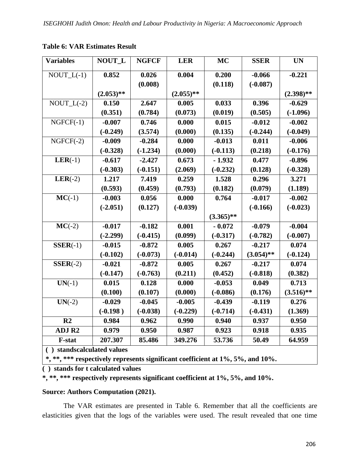| <b>Variables</b>                                                               | <b>NOUT L</b>           | <b>NGFCF</b> | <b>LER</b>  | MC           | <b>SSER</b>  | <b>UN</b>    |
|--------------------------------------------------------------------------------|-------------------------|--------------|-------------|--------------|--------------|--------------|
| $NOUT_L(-1)$                                                                   | 0.852                   | 0.026        | 0.004       | 0.200        | $-0.066$     | $-0.221$     |
|                                                                                |                         | (0.008)      |             | (0.118)      | $(-0.087)$   |              |
|                                                                                | $(2.053)$ **            |              | $(2.055)**$ |              |              | $(2.398)$ ** |
| $NOUT_L(-2)$                                                                   | 0.150                   | 2.647        | 0.005       | 0.033        | 0.396        | $-0.629$     |
|                                                                                | (0.351)                 | (0.784)      | (0.073)     | (0.019)      | (0.505)      | $(-1.096)$   |
| $NGFCF(-1)$                                                                    | $-0.007$                | 0.746        | 0.000       | 0.015        | $-0.012$     | $-0.002$     |
|                                                                                | $(-0.249)$              | (3.574)      | (0.000)     | (0.135)      | $(-0.244)$   | $(-0.049)$   |
| $NGFCF(-2)$                                                                    | $-0.009$                | $-0.284$     | 0.000       | $-0.013$     | 0.011        | $-0.006$     |
|                                                                                | $(-0.328)$              | $(-1.234)$   | (0.000)     | $(-0.113)$   | (0.218)      | $(-0.176)$   |
| $LER(-1)$                                                                      | $-0.617$                | $-2.427$     | 0.673       | $-1.932$     | 0.477        | $-0.896$     |
|                                                                                | $(-0.303)$              | $(-0.151)$   | (2.069)     | $(-0.232)$   | (0.128)      | $(-0.328)$   |
| $LER(-2)$                                                                      | 1.217                   | 7.419        | 0.259       | 1.528        | 0.296        | 3.271        |
|                                                                                | (0.593)                 | (0.459)      | (0.793)     | (0.182)      | (0.079)      | (1.189)      |
| $MC(-1)$                                                                       | $-0.003$                | 0.056        | 0.000       | 0.764        | $-0.017$     | $-0.002$     |
|                                                                                | $(-2.051)$              | (0.127)      | $(-0.039)$  |              | $(-0.166)$   | $(-0.023)$   |
|                                                                                |                         |              |             | $(3.365)$ ** |              |              |
| $MC(-2)$                                                                       | $-0.017$                | $-0.182$     | 0.001       | $-0.072$     | $-0.079$     | $-0.004$     |
|                                                                                | $(-2.299)$              | $(-0.415)$   | (0.099)     | $(-0.317)$   | $(-0.782)$   | $(-0.007)$   |
| $SSER(-1)$                                                                     | $-0.015$                | $-0.872$     | 0.005       | 0.267        | $-0.217$     | 0.074        |
|                                                                                | $(-0.102)$              | $(-0.073)$   | $(-0.014)$  | $(-0.244)$   | $(3.054)$ ** | $(-0.124)$   |
| $SSER(-2)$                                                                     | $-0.021$                | $-0.872$     | 0.005       | 0.267        | $-0.217$     | 0.074        |
|                                                                                | $(-0.147)$              | $(-0.763)$   | (0.211)     | (0.452)      | $(-0.818)$   | (0.382)      |
| $UN(-1)$                                                                       | 0.015                   | 0.128        | 0.000       | $-0.053$     | 0.049        | 0.713        |
|                                                                                | (0.100)                 | (0.107)      | (0.000)     | $(-0.086)$   | (0.176)      | $(3.516)$ ** |
| $UN(-2)$                                                                       | $-0.029$                | $-0.045$     | $-0.005$    | $-0.439$     | $-0.119$     | 0.276        |
|                                                                                | $(-0.198)$              | $(-0.038)$   | $(-0.229)$  | $(-0.714)$   | $(-0.431)$   | (1.369)      |
| R <sub>2</sub>                                                                 | 0.984                   | 0.962        | 0.990       | 0.940        | 0.937        | 0.950        |
| <b>ADJ R2</b>                                                                  | 0.979                   | 0.950        | 0.987       | 0.923        | 0.918        | 0.935        |
| <b>F-stat</b>                                                                  | 207.307                 | 85.486       | 349.276     | 53.736       | 50.49        | 64.959       |
|                                                                                | standscalculated values |              |             |              |              |              |
| *, **, *** respectively represents significant coefficient at 1%, 5%, and 10%. |                         |              |             |              |              |              |

## **Table 6: VAR Estimates Result**

**( ) stands for t calculated values**

**\*, \*\*, \*\*\* respectively represents significant coefficient at 1%, 5%, and 10%.**

#### **Source: Authors Computation (2021).**

The VAR estimates are presented in Table 6. Remember that all the coefficients are elasticities given that the logs of the variables were used. The result revealed that one time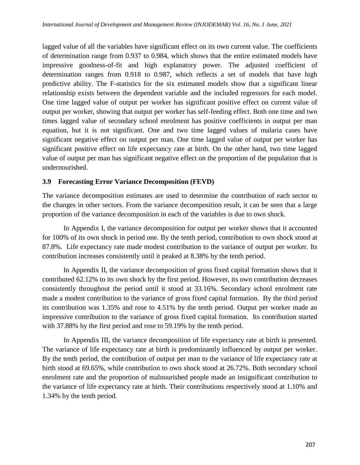lagged value of all the variables have significant effect on its own current value. The coefficients of determination range from 0.937 to 0.984, which shows that the entire estimated models have impressive goodness-of-fit and high explanatory power. The adjusted coefficient of determination ranges from 0.918 to 0.987, which reflects a set of models that have high predictive ability. The F-statistics for the six estimated models show that a significant linear relationship exists between the dependent variable and the included regressors for each model. One time lagged value of output per worker has significant positive effect on current value of output per worker, showing that output per worker has self-feeding effect. Both one time and two times lagged value of secondary school enrolment has positive coefficients in output per man equation, but it is not significant. One and two time lagged values of malaria cases have significant negative effect on output per man. One time lagged value of output per worker has significant positive effect on life expectancy rate at birth. On the other hand, two time lagged value of output per man has significant negative effect on the proportion of the population that is undernourished.

## **3.9 Forecasting Error Variance Decomposition (FEVD)**

The variance decomposition estimates are used to determine the contribution of each sector to the changes in other sectors. From the variance decomposition result, it can be seen that a large proportion of the variance decomposition in each of the variables is due to own shock.

In Appendix I, the variance decomposition for output per worker shows that it accounted for 100% of its own shock in period one. By the tenth period, contribution to own shock stood at 87.8%. Life expectancy rate made modest contribution to the variance of output per worker. Its contribution increases consistently until it peaked at 8.38% by the tenth period.

In Appendix II, the variance decomposition of gross fixed capital formation shows that it contributed 62.12% to its own shock by the first period. However, its own contribution decreases consistently throughout the period until it stood at 33.16%. Secondary school enrolment rate made a modest contribution to the variance of gross fixed capital formation. By the third period its contribution was 1.35% and rose to 4.51% by the tenth period. Output per worker made an impressive contribution to the variance of gross fixed capital formation. Its contribution started with 37.88% by the first period and rose to 59.19% by the tenth period.

In Appendix III, the variance decomposition of life expectancy rate at birth is presented. The variance of life expectancy rate at birth is predominantly influenced by output per worker. By the tenth period, the contribution of output per man to the variance of life expectancy rate at birth stood at 69.65%, while contribution to own shock stood at 26.72%. Both secondary school enrolment rate and the proportion of malnourished people made an insignificant contribution to the variance of life expectancy rate at birth. Their contributions respectively stood at 1.10% and 1.34% by the tenth period.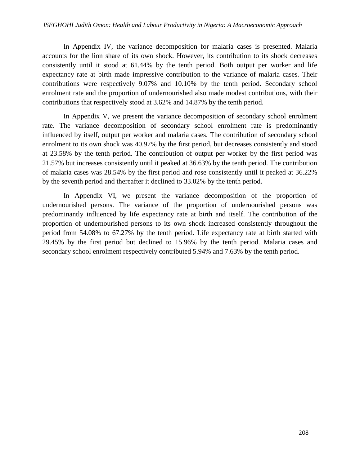#### *International Journal of Development and Management Review (INJODEMAR) Vol. 16, No. 1 June, 2021 ISEGHOHI Judith Omon: Health and Labour Productivity in Nigeria: A Macroeconomic Approach*

In Appendix IV, the variance decomposition for malaria cases is presented. Malaria accounts for the lion share of its own shock. However, its contribution to its shock decreases consistently until it stood at 61.44% by the tenth period. Both output per worker and life expectancy rate at birth made impressive contribution to the variance of malaria cases. Their contributions were respectively 9.07% and 10.10% by the tenth period. Secondary school enrolment rate and the proportion of undernourished also made modest contributions, with their contributions that respectively stood at 3.62% and 14.87% by the tenth period.

In Appendix V, we present the variance decomposition of secondary school enrolment rate. The variance decomposition of secondary school enrolment rate is predominantly influenced by itself, output per worker and malaria cases. The contribution of secondary school enrolment to its own shock was 40.97% by the first period, but decreases consistently and stood at 23.58% by the tenth period. The contribution of output per worker by the first period was 21.57% but increases consistently until it peaked at 36.63% by the tenth period. The contribution of malaria cases was 28.54% by the first period and rose consistently until it peaked at 36.22% by the seventh period and thereafter it declined to 33.02% by the tenth period.

In Appendix VI, we present the variance decomposition of the proportion of undernourished persons. The variance of the proportion of undernourished persons was predominantly influenced by life expectancy rate at birth and itself. The contribution of the proportion of undernourished persons to its own shock increased consistently throughout the period from 54.08% to 67.27% by the tenth period. Life expectancy rate at birth started with 29.45% by the first period but declined to 15.96% by the tenth period. Malaria cases and secondary school enrolment respectively contributed 5.94% and 7.63% by the tenth period.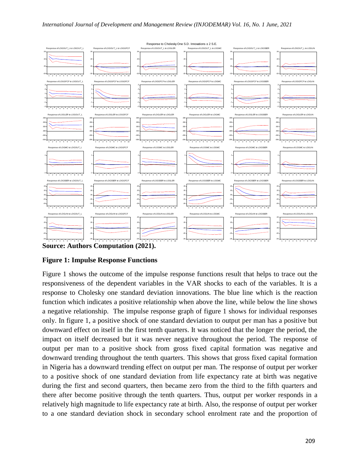

**Source: Authors Computation (2021).**

## **Figure 1: Impulse Response Functions**

Figure 1 shows the outcome of the impulse response functions result that helps to trace out the responsiveness of the dependent variables in the VAR shocks to each of the variables. It is a response to Cholesky one standard deviation innovations. The blue line which is the reaction function which indicates a positive relationship when above the line, while below the line shows a negative relationship. The impulse response graph of figure 1 shows for individual responses only. In figure 1, a positive shock of one standard deviation to output per man has a positive but downward effect on itself in the first tenth quarters. It was noticed that the longer the period, the impact on itself decreased but it was never negative throughout the period. The response of output per man to a positive shock from gross fixed capital formation was negative and downward trending throughout the tenth quarters. This shows that gross fixed capital formation in Nigeria has a downward trending effect on output per man. The response of output per worker to a positive shock of one standard deviation from life expectancy rate at birth was negative during the first and second quarters, then became zero from the third to the fifth quarters and there after become positive through the tenth quarters. Thus, output per worker responds in a relatively high magnitude to life expectancy rate at birth. Also, the response of output per worker to a one standard deviation shock in secondary school enrolment rate and the proportion of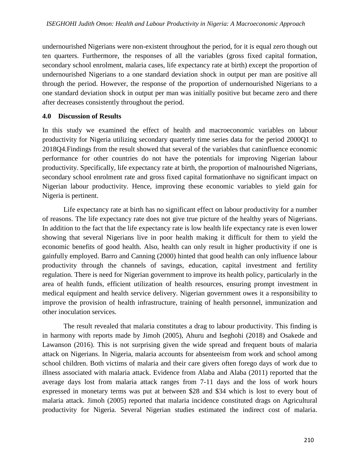undernourished Nigerians were non-existent throughout the period, for it is equal zero though out ten quarters. Furthermore, the responses of all the variables (gross fixed capital formation, secondary school enrolment, malaria cases, life expectancy rate at birth) except the proportion of undernourished Nigerians to a one standard deviation shock in output per man are positive all through the period. However, the response of the proportion of undernourished Nigerians to a one standard deviation shock in output per man was initially positive but became zero and there after decreases consistently throughout the period.

## **4.0 Discussion of Results**

In this study we examined the effect of health and macroeconomic variables on labour productivity for Nigeria utilizing secondary quarterly time series data for the period 2000Q1 to 2018Q4.Findings from the result showed that several of the variables that caninfluence economic performance for other countries do not have the potentials for improving Nigerian labour productivity. Specifically, life expectancy rate at birth, the proportion of malnourished Nigerians, secondary school enrolment rate and gross fixed capital formationhave no significant impact on Nigerian labour productivity. Hence, improving these economic variables to yield gain for Nigeria is pertinent.

Life expectancy rate at birth has no significant effect on labour productivity for a number of reasons. The life expectancy rate does not give true picture of the healthy years of Nigerians. In addition to the fact that the life expectancy rate is low health life expectancy rate is even lower showing that several Nigerians live in poor health making it difficult for them to yield the economic benefits of good health. Also, health can only result in higher productivity if one is gainfully employed. Barro and Canning (2000) hinted that good health can only influence labour productivity through the channels of savings, education, capital investment and fertility regulation. There is need for Nigerian government to improve its health policy, particularly in the area of health funds, efficient utilization of health resources, ensuring prompt investment in medical equipment and health service delivery. Nigerian government owes it a responsibility to improve the provision of health infrastructure, training of health personnel, immunization and other inoculation services.

The result revealed that malaria constitutes a drag to labour productivity. This finding is in harmony with reports made by Jimoh (2005), Ahuru and Iseghohi (2018) and Osakede and Lawanson (2016). This is not surprising given the wide spread and frequent bouts of malaria attack on Nigerians. In Nigeria, malaria accounts for absenteeism from work and school among school children. Both victims of malaria and their care givers often forego days of work due to illness associated with malaria attack. Evidence from Alaba and Alaba (2011) reported that the average days lost from malaria attack ranges from 7-11 days and the loss of work hours expressed in monetary terms was put at between \$28 and \$34 which is lost to every bout of malaria attack. Jimoh (2005) reported that malaria incidence constituted drags on Agricultural productivity for Nigeria. Several Nigerian studies estimated the indirect cost of malaria.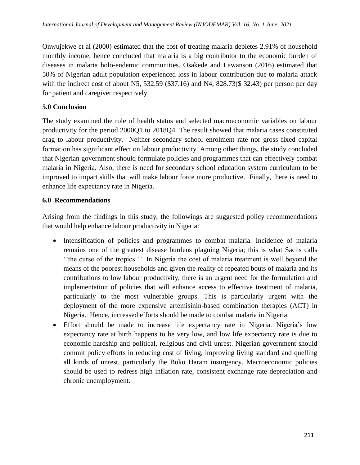Onwujekwe et al (2000) estimated that the cost of treating malaria depletes 2.91% of household monthly income, hence concluded that malaria is a big contributor to the economic burden of diseases in malaria holo-endemic communities. Osakede and Lawanson (2016) estimated that 50% of Nigerian adult population experienced loss in labour contribution due to malaria attack with the indirect cost of about N5, 532.59 (\$37.16) and N4, 828.73(\$32.43) per person per day for patient and caregiver respectively.

## **5.0 Conclusion**

The study examined the role of health status and selected macroeconomic variables on labour productivity for the period 2000Q1 to 2018Q4. The result showed that malaria cases constituted drag to labour productivity. Neither secondary school enrolment rate nor gross fixed capital formation has significant effect on labour productivity. Among other things, the study concluded that Nigerian government should formulate policies and programmes that can effectively combat malaria in Nigeria. Also, there is need for secondary school education system curriculum to be improved to impart skills that will make labour force more productive. Finally, there is need to enhance life expectancy rate in Nigeria.

## **6.0 Recommendations**

Arising from the findings in this study, the followings are suggested policy recommendations that would help enhance labour productivity in Nigeria:

- Intensification of policies and programmes to combat malaria. Incidence of malaria remains one of the greatest disease burdens plaguing Nigeria; this is what Sachs calls ‗'the curse of the tropics ‗'. In Nigeria the cost of malaria treatment is well beyond the means of the poorest households and given the reality of repeated bouts of malaria and its contributions to low labour productivity, there is an urgent need for the formulation and implementation of policies that will enhance access to effective treatment of malaria, particularly to the most vulnerable groups. This is particularly urgent with the deployment of the more expensive artemisinin-based combination therapies (ACT) in Nigeria. Hence, increased efforts should be made to combat malaria in Nigeria.
- Effort should be made to increase life expectancy rate in Nigeria. Nigeria's low expectancy rate at birth happens to be very low, and low life expectancy rate is due to economic hardship and political, religious and civil unrest. Nigerian government should commit policy efforts in reducing cost of living, improving living standard and quelling all kinds of unrest, particularly the Boko Haram insurgency. Macroeconomic policies should be used to redress high inflation rate, consistent exchange rate depreciation and chronic unemployment.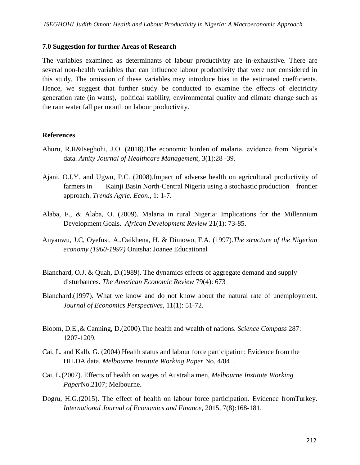#### **7.0 Suggestion for further Areas of Research**

The variables examined as determinants of labour productivity are in-exhaustive. There are several non-health variables that can influence labour productivity that were not considered in this study. The omission of these variables may introduce bias in the estimated coefficients. Hence, we suggest that further study be conducted to examine the effects of electricity generation rate (in watts), political stability, environmental quality and climate change such as the rain water fall per month on labour productivity.

#### **References**

- Ahuru, R.R&Iseghohi, J.O. (**20**18).The economic burden of malaria, evidence from Nigeria's data. *Amity Journal of Healthcare Management,* 3(1):28 -39.
- Ajani, O.I.Y. and Ugwu, P.C. (2008).Impact of adverse health on agricultural productivity of farmers in Kainji Basin North-Central Nigeria using a stochastic production frontier approach. *Trends Agric. Econ*., 1: 1-7.
- Alaba, F., & Alaba, O. (2009). Malaria in rural Nigeria: Implications for the Millennium Development Goals. *African Development Review* 21(1): 73-85.
- Anyanwu, J.C, Oyefusi, A.,Oaikhena, H. & Dimowo, F.A. (1997).*The structure of the Nigerian economy (1960-1997)* Onitsha: Joanee Educational
- Blanchard, O.J. & Quah, D.(1989). The dynamics effects of aggregate demand and supply disturbances. *The American Economic Review* 79(4): 673
- Blanchard.(1997). What we know and do not know about the natural rate of unemployment. *Journal of Economics Perspectives*, 11(1): 51-72.
- Bloom, D.E.,& Canning, D.(2000).The health and wealth of nations. *Science Compass* 287: 1207-1209.
- Cai, L. and Kalb, G. (2004) Health status and labour force participation: Evidence from the HILDA data. *Melbourne Institute Working Paper* No. 4/04 .
- Cai, L.(2007). Effects of health on wages of Australia men, *Melbourne Institute Working Paper*No.2107; Melbourne.
- Dogru, H.G.(2015). The effect of health on labour force participation. Evidence fromTurkey. *International Journal of Economics and Finance*, 2015, 7(8):168-181.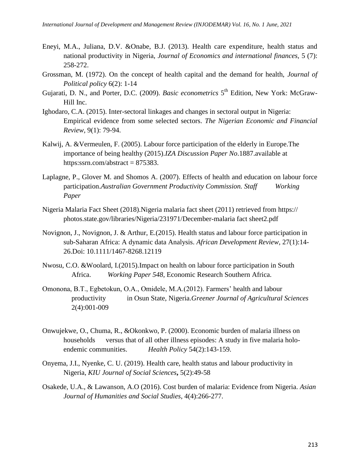- Eneyi, M.A., Juliana, D.V. &Onabe, B.J. (2013). Health care expenditure, health status and national productivity in Nigeria, *Journal of Economics and international finances,* 5 (7): 258-272.
- Grossman, M. (1972). On the concept of health capital and the demand for health, *Journal of Political policy* 6(2): 1-14
- Gujarati, D. N., and Porter, D.C. (2009). *Basic econometrics* 5<sup>th</sup> Edition, New York: McGraw-Hill Inc.
- Ighodaro, C.A. (2015). Inter-sectoral linkages and changes in sectoral output in Nigeria: Empirical evidence from some selected sectors. *The Nigerian Economic and Financial Review,* 9(1): 79-94.
- Kalwij, A. &Vermeulen, F. (2005). Labour force participation of the elderly in Europe.The importance of being healthy (2015).*IZA Discussion Paper No*.1887.available at https:ssrn.com/abstract =  $875383$ .
- Laplagne, P., Glover M. and Shomos A. (2007). Effects of health and education on labour force participation.*Australian Government Productivity Commission. Staff Working Paper*
- Nigeria Malaria Fact Sheet (2018).Nigeria malaria fact sheet (2011) retrieved from https:// photos.state.gov/libraries/Nigeria/231971/December-malaria fact sheet2.pdf
- Novignon, J., Novignon, J. & Arthur, E.(2015). Health status and labour force participation in sub-Saharan Africa: A dynamic data Analysis. *African Development Review,* 27(1):14- 26.Doi: 10.1111/1467-8268.12119
- Nwosu, C.O. &Woolard, I.(2015).Impact on health on labour force participation in South Africa. *Working Paper 548*, Economic Research Southern Africa.
- Omonona, B.T., Egbetokun, O.A., Omidele, M.A.(2012). Farmers' health and labour productivity in Osun State, Nigeria.*Greener Journal of Agricultural Sciences* 2(4):001-009
- Onwujekwe, O., Chuma, R., &Okonkwo, P. (2000). Economic burden of malaria illness on households versus that of all other illness episodes: A study in five malaria holoendemic communities. *Health Policy* 54(2):143-159.
- Onyema, J.I., Nyenke, C. U. (2019). Health care, health status and labour productivity in Nigeria, *KIU Journal of Social Sciences***,** 5(2):49-58
- Osakede, U.A., & Lawanson, A.O (2016). Cost burden of malaria: Evidence from Nigeria. *Asian Journal of Humanities and Social Studies*, 4(4):266-277.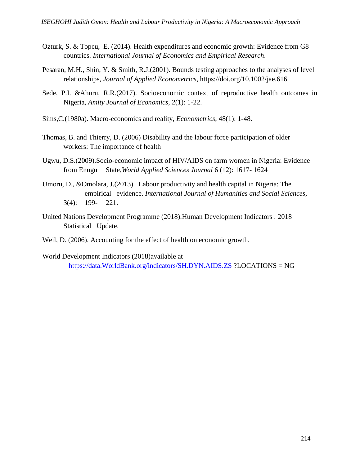- Ozturk, S. & Topcu, E. (2014). Health expenditures and economic growth: Evidence from G8 countries. *International Journal of Economics and Empirical Research*.
- Pesaran, M.H., Shin, Y. & Smith, R.J.(2001). Bounds testing approaches to the analyses of level relationships, *Journal of Applied Econometrics*, https://doi.org/10.1002/jae.616
- Sede, P.I. &Ahuru, R.R.(2017). Socioeconomic context of reproductive health outcomes in Nigeria, *Amity Journal of Economics*, 2(1): 1-22.
- Sims,C.(1980a). Macro-economics and reality, *Econometrics*, 48(1): 1-48.
- Thomas, B. and Thierry, D. (2006) Disability and the labour force participation of older workers: The importance of health
- Ugwu, D.S.(2009).Socio-economic impact of HIV/AIDS on farm women in Nigeria: Evidence from Enugu State,*World Applied Sciences Journal* 6 (12): 1617- 1624
- Umoru, D., &Omolara, J.(2013). Labour productivity and health capital in Nigeria: The empirical evidence. *International Journal of Humanities and Social Sciences*, 3(4): 199- 221.
- United Nations Development Programme (2018).Human Development Indicators . 2018 Statistical Update.
- Weil, D. (2006). Accounting for the effect of health on economic growth.
- World Development Indicators (2018)available at [https://data.WorldBank.org/indicators/SH.DYN.AIDS.ZS](https://data.worldbank.org/indicators/SH.DYN.AIDS.ZS) ?LOCATIONS = NG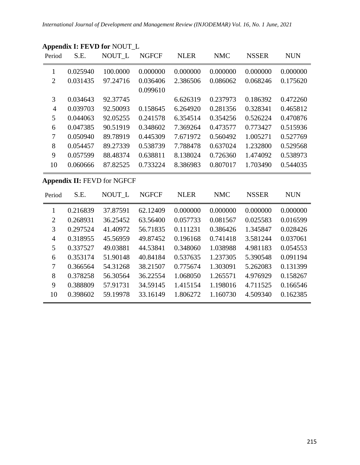| Period         | S.E.     | NOUT L                             | <b>NGFCF</b> | <b>NLER</b> | <b>NMC</b> | <b>NSSER</b> | <b>NUN</b> |
|----------------|----------|------------------------------------|--------------|-------------|------------|--------------|------------|
| $\mathbf{1}$   | 0.025940 | 100.0000                           | 0.000000     | 0.000000    | 0.000000   | 0.000000     | 0.000000   |
| $\overline{2}$ | 0.031435 | 97.24716                           | 0.036406     | 2.386506    | 0.086062   | 0.068246     | 0.175620   |
|                |          |                                    | 0.099610     |             |            |              |            |
| 3              | 0.034643 | 92.37745                           |              | 6.626319    | 0.237973   | 0.186392     | 0.472260   |
| $\overline{4}$ | 0.039703 | 92.50093                           | 0.158645     | 6.264920    | 0.281356   | 0.328341     | 0.465812   |
| 5              | 0.044063 | 92.05255                           | 0.241578     | 6.354514    | 0.354256   | 0.526224     | 0.470876   |
| 6              | 0.047385 | 90.51919                           | 0.348602     | 7.369264    | 0.473577   | 0.773427     | 0.515936   |
| $\tau$         | 0.050940 | 89.78919                           | 0.445309     | 7.671972    | 0.560492   | 1.005271     | 0.527769   |
| 8              | 0.054457 | 89.27339                           | 0.538739     | 7.788478    | 0.637024   | 1.232800     | 0.529568   |
| 9              | 0.057599 | 88.48374                           | 0.638811     | 8.138024    | 0.726360   | 1.474092     | 0.538973   |
| 10             | 0.060666 | 87.82525                           | 0.733224     | 8.386983    | 0.807017   | 1.703490     | 0.544035   |
|                |          | <b>Appendix II: FEVD for NGFCF</b> |              |             |            |              |            |
| Period         |          |                                    |              |             |            |              |            |
|                | S.E.     | NOUT_L                             | <b>NGFCF</b> | <b>NLER</b> | <b>NMC</b> | <b>NSSER</b> | <b>NUN</b> |
| $\mathbf{1}$   | 0.216839 | 37.87591                           | 62.12409     | 0.000000    | 0.000000   | 0.000000     | 0.000000   |
| $\mathbf{2}$   | 0.268931 | 36.25452                           | 63.56400     | 0.057733    | 0.081567   | 0.025583     | 0.016599   |
| 3              | 0.297524 | 41.40972                           | 56.71835     | 0.111231    | 0.386426   | 1.345847     | 0.028426   |
| $\overline{4}$ | 0.318955 | 45.56959                           | 49.87452     | 0.196168    | 0.741418   | 3.581244     | 0.037061   |
| 5              | 0.337527 | 49.03881                           | 44.53841     | 0.348060    | 1.038988   | 4.981183     | 0.054553   |
| 6              | 0.353174 | 51.90148                           | 40.84184     | 0.537635    | 1.237305   | 5.390548     | 0.091194   |
| $\tau$         | 0.366564 | 54.31268                           | 38.21507     | 0.775674    | 1.303091   | 5.262083     | 0.131399   |
| 8              | 0.378258 | 56.30564                           | 36.22554     | 1.068050    | 1.265571   | 4.976929     | 0.158267   |

0.398602 59.19978 33.16149 1.806272 1.160730 4.509340 0.162385

# **Appendix I: FEVD for** NOUT\_L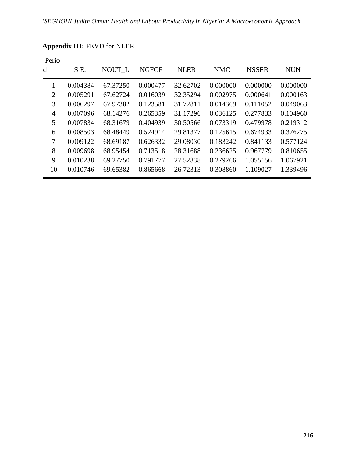| Perio          |          |          |              |             |            |              |            |
|----------------|----------|----------|--------------|-------------|------------|--------------|------------|
| d              | S.E.     | NOUT L   | <b>NGFCF</b> | <b>NLER</b> | <b>NMC</b> | <b>NSSER</b> | <b>NUN</b> |
| 1              | 0.004384 | 67.37250 | 0.000477     | 32.62702    | 0.000000   | 0.000000     | 0.000000   |
| $\overline{2}$ | 0.005291 | 67.62724 | 0.016039     | 32.35294    | 0.002975   | 0.000641     | 0.000163   |
| 3              | 0.006297 | 67.97382 | 0.123581     | 31.72811    | 0.014369   | 0.111052     | 0.049063   |
| 4              | 0.007096 | 68.14276 | 0.265359     | 31.17296    | 0.036125   | 0.277833     | 0.104960   |
| 5              | 0.007834 | 68.31679 | 0.404939     | 30.50566    | 0.073319   | 0.479978     | 0.219312   |
| 6              | 0.008503 | 68.48449 | 0.524914     | 29.81377    | 0.125615   | 0.674933     | 0.376275   |
| $\overline{7}$ | 0.009122 | 68.69187 | 0.626332     | 29.08030    | 0.183242   | 0.841133     | 0.577124   |
| 8              | 0.009698 | 68.95454 | 0.713518     | 28.31688    | 0.236625   | 0.967779     | 0.810655   |
| 9              | 0.010238 | 69.27750 | 0.791777     | 27.52838    | 0.279266   | 1.055156     | 1.067921   |
| 10             | 0.010746 | 69.65382 | 0.865668     | 26.72313    | 0.308860   | 1.109027     | 1.339496   |

# **Appendix III:** FEVD for NLER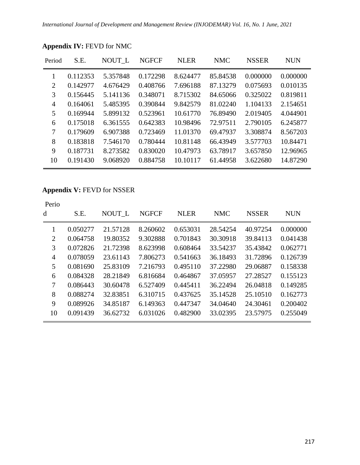| Period         | S.E.     | NOUT L   | <b>NGFCF</b> | <b>NLER</b> | <b>NMC</b> | <b>NSSER</b> | <b>NUN</b> |
|----------------|----------|----------|--------------|-------------|------------|--------------|------------|
|                | 0.112353 | 5.357848 | 0.172298     | 8.624477    | 85.84538   | 0.000000     | 0.000000   |
| 2              | 0.142977 | 4.676429 | 0.408766     | 7.696188    | 87.13279   | 0.075693     | 0.010135   |
| 3              | 0.156445 | 5.141136 | 0.348071     | 8.715302    | 84.65066   | 0.325022     | 0.819811   |
| $\overline{4}$ | 0.164061 | 5.485395 | 0.390844     | 9.842579    | 81.02240   | 1.104133     | 2.154651   |
| 5              | 0.169944 | 5.899132 | 0.523961     | 10.61770    | 76.89490   | 2.019405     | 4.044901   |
| 6              | 0.175018 | 6.361555 | 0.642383     | 10.98496    | 72.97511   | 2.790105     | 6.245877   |
| 7              | 0.179609 | 6.907388 | 0.723469     | 11.01370    | 69.47937   | 3.308874     | 8.567203   |
| 8              | 0.183818 | 7.546170 | 0.780444     | 10.81148    | 66.43949   | 3.577703     | 10.84471   |
| 9              | 0.187731 | 8.273582 | 0.830020     | 10.47973    | 63.78917   | 3.657850     | 12.96965   |
| 10             | 0.191430 | 9.068920 | 0.884758     | 10.10117    | 61.44958   | 3.622680     | 14.87290   |
|                |          |          |              |             |            |              |            |

# **Appendix IV:** FEVD for NMC

# **Appendix V:** FEVD for NSSER

| Perio<br>d     | S.E.     | NOUT L   | <b>NGFCF</b> | <b>NLER</b> | <b>NMC</b> | <b>NSSER</b> | <b>NUN</b> |
|----------------|----------|----------|--------------|-------------|------------|--------------|------------|
| 1              | 0.050277 | 21.57128 | 8.260602     | 0.653031    | 28.54254   | 40.97254     | 0.000000   |
| 2              | 0.064758 | 19.80352 | 9.302888     | 0.701843    | 30.30918   | 39.84113     | 0.041438   |
| 3              | 0.072826 | 21.72398 | 8.623998     | 0.608464    | 33.54237   | 35.43842     | 0.062771   |
| $\overline{4}$ | 0.078059 | 23.61143 | 7.806273     | 0.541663    | 36.18493   | 31.72896     | 0.126739   |
| 5              | 0.081690 | 25.83109 | 7.216793     | 0.495110    | 37.22980   | 29.06887     | 0.158338   |
| 6              | 0.084328 | 28.21849 | 6.816684     | 0.464867    | 37.05957   | 27.28527     | 0.155123   |
| 7              | 0.086443 | 30.60478 | 6.527409     | 0.445411    | 36.22494   | 26.04818     | 0.149285   |
| 8              | 0.088274 | 32.83851 | 6.310715     | 0.437625    | 35.14528   | 25.10510     | 0.162773   |
| 9              | 0.089926 | 34.85187 | 6.149363     | 0.447347    | 34,04640   | 24.30461     | 0.200402   |
| 10             | 0.091439 | 36.62732 | 6.031026     | 0.482900    | 33.02395   | 23.57975     | 0.255049   |